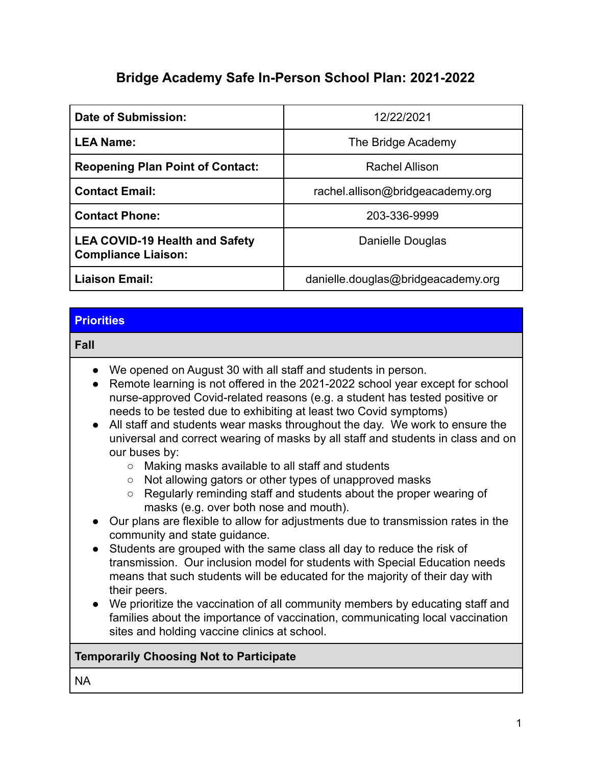# **Bridge Academy Safe In-Person School Plan: 2021-2022**

| Date of Submission:                                                 | 12/22/2021                         |
|---------------------------------------------------------------------|------------------------------------|
| <b>LEA Name:</b>                                                    | The Bridge Academy                 |
| <b>Reopening Plan Point of Contact:</b>                             | Rachel Allison                     |
| <b>Contact Email:</b>                                               | rachel.allison@bridgeacademy.org   |
| <b>Contact Phone:</b>                                               | 203-336-9999                       |
| <b>LEA COVID-19 Health and Safety</b><br><b>Compliance Liaison:</b> | Danielle Douglas                   |
| <b>Liaison Email:</b>                                               | danielle.douglas@bridgeacademy.org |

#### **Priorities**

#### **Fall** ● We opened on August 30 with all staff and students in person. ● Remote learning is not offered in the 2021-2022 school year except for school nurse-approved Covid-related reasons (e.g. a student has tested positive or needs to be tested due to exhibiting at least two Covid symptoms) ● All staff and students wear masks throughout the day. We work to ensure the universal and correct wearing of masks by all staff and students in class and on our buses by: ○ Making masks available to all staff and students ○ Not allowing gators or other types of unapproved masks ○ Regularly reminding staff and students about the proper wearing of masks (e.g. over both nose and mouth). ● Our plans are flexible to allow for adjustments due to transmission rates in the community and state guidance. ● Students are grouped with the same class all day to reduce the risk of transmission. Our inclusion model for students with Special Education needs means that such students will be educated for the majority of their day with their peers.

● We prioritize the vaccination of all community members by educating staff and families about the importance of vaccination, communicating local vaccination sites and holding vaccine clinics at school.

#### **Temporarily Choosing Not to Participate**

NA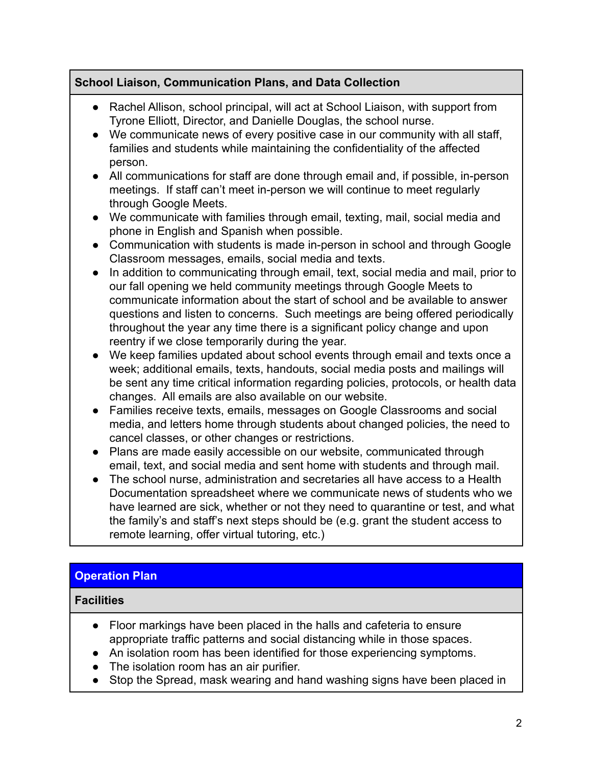## **School Liaison, Communication Plans, and Data Collection**

- Rachel Allison, school principal, will act at School Liaison, with support from Tyrone Elliott, Director, and Danielle Douglas, the school nurse.
- We communicate news of every positive case in our community with all staff, families and students while maintaining the confidentiality of the affected person.
- All communications for staff are done through email and, if possible, in-person meetings. If staff can't meet in-person we will continue to meet regularly through Google Meets.
- We communicate with families through email, texting, mail, social media and phone in English and Spanish when possible.
- Communication with students is made in-person in school and through Google Classroom messages, emails, social media and texts.
- In addition to communicating through email, text, social media and mail, prior to our fall opening we held community meetings through Google Meets to communicate information about the start of school and be available to answer questions and listen to concerns. Such meetings are being offered periodically throughout the year any time there is a significant policy change and upon reentry if we close temporarily during the year.
- We keep families updated about school events through email and texts once a week; additional emails, texts, handouts, social media posts and mailings will be sent any time critical information regarding policies, protocols, or health data changes. All emails are also available on our website.
- Families receive texts, emails, messages on Google Classrooms and social media, and letters home through students about changed policies, the need to cancel classes, or other changes or restrictions.
- Plans are made easily accessible on our website, communicated through email, text, and social media and sent home with students and through mail.
- The school nurse, administration and secretaries all have access to a Health Documentation spreadsheet where we communicate news of students who we have learned are sick, whether or not they need to quarantine or test, and what the family's and staff's next steps should be (e.g. grant the student access to remote learning, offer virtual tutoring, etc.)

# **Operation Plan**

# **Facilities**

- Floor markings have been placed in the halls and cafeteria to ensure appropriate traffic patterns and social distancing while in those spaces.
- An isolation room has been identified for those experiencing symptoms.
- The isolation room has an air purifier.
- Stop the Spread, mask wearing and hand washing signs have been placed in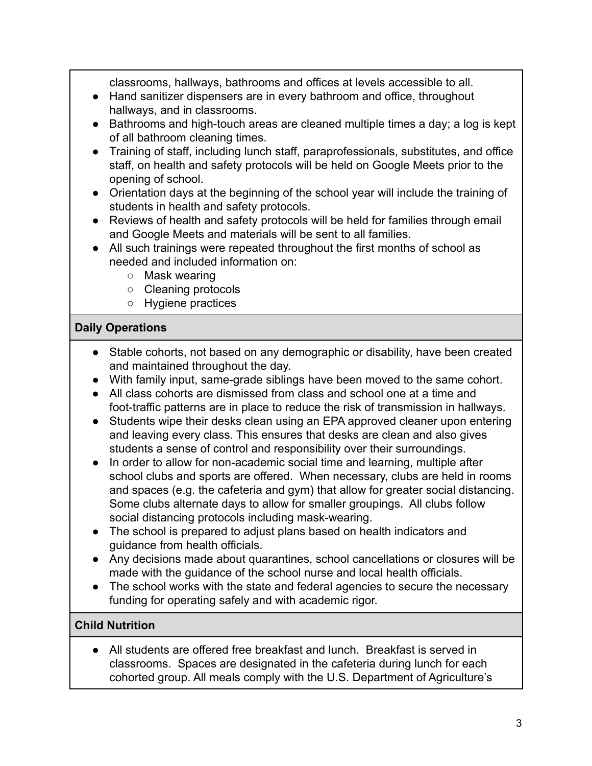classrooms, hallways, bathrooms and offices at levels accessible to all.

- Hand sanitizer dispensers are in every bathroom and office, throughout hallways, and in classrooms.
- Bathrooms and high-touch areas are cleaned multiple times a day; a log is kept of all bathroom cleaning times.
- Training of staff, including lunch staff, paraprofessionals, substitutes, and office staff, on health and safety protocols will be held on Google Meets prior to the opening of school.
- Orientation days at the beginning of the school year will include the training of students in health and safety protocols.
- Reviews of health and safety protocols will be held for families through email and Google Meets and materials will be sent to all families.
- All such trainings were repeated throughout the first months of school as needed and included information on:
	- Mask wearing
	- Cleaning protocols
	- Hygiene practices

## **Daily Operations**

- Stable cohorts, not based on any demographic or disability, have been created and maintained throughout the day.
- With family input, same-grade siblings have been moved to the same cohort.
- All class cohorts are dismissed from class and school one at a time and foot-traffic patterns are in place to reduce the risk of transmission in hallways.
- Students wipe their desks clean using an EPA approved cleaner upon entering and leaving every class. This ensures that desks are clean and also gives students a sense of control and responsibility over their surroundings.
- In order to allow for non-academic social time and learning, multiple after school clubs and sports are offered. When necessary, clubs are held in rooms and spaces (e.g. the cafeteria and gym) that allow for greater social distancing. Some clubs alternate days to allow for smaller groupings. All clubs follow social distancing protocols including mask-wearing.
- The school is prepared to adjust plans based on health indicators and guidance from health officials.
- Any decisions made about quarantines, school cancellations or closures will be made with the guidance of the school nurse and local health officials.
- The school works with the state and federal agencies to secure the necessary funding for operating safely and with academic rigor.

## **Child Nutrition**

● All students are offered free breakfast and lunch. Breakfast is served in classrooms. Spaces are designated in the cafeteria during lunch for each cohorted group. All meals comply with the U.S. Department of Agriculture's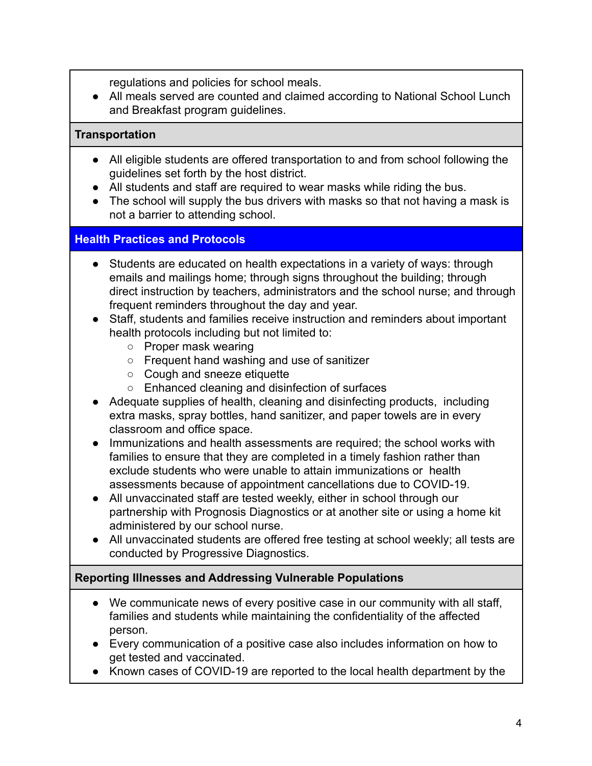regulations and policies for school meals.

● All meals served are counted and claimed according to National School Lunch and Breakfast program guidelines.

#### **Transportation**

- All eligible students are offered transportation to and from school following the guidelines set forth by the host district.
- All students and staff are required to wear masks while riding the bus.
- The school will supply the bus drivers with masks so that not having a mask is not a barrier to attending school.

# **Health Practices and Protocols**

- Students are educated on health expectations in a variety of ways: through emails and mailings home; through signs throughout the building; through direct instruction by teachers, administrators and the school nurse; and through frequent reminders throughout the day and year.
- Staff, students and families receive instruction and reminders about important health protocols including but not limited to:
	- Proper mask wearing
	- Frequent hand washing and use of sanitizer
	- Cough and sneeze etiquette
	- Enhanced cleaning and disinfection of surfaces
- Adequate supplies of health, cleaning and disinfecting products, including extra masks, spray bottles, hand sanitizer, and paper towels are in every classroom and office space.
- Immunizations and health assessments are required; the school works with families to ensure that they are completed in a timely fashion rather than exclude students who were unable to attain immunizations or health assessments because of appointment cancellations due to COVID-19.
- All unvaccinated staff are tested weekly, either in school through our partnership with Prognosis Diagnostics or at another site or using a home kit administered by our school nurse.
- All unvaccinated students are offered free testing at school weekly; all tests are conducted by Progressive Diagnostics.

## **Reporting Illnesses and Addressing Vulnerable Populations**

- We communicate news of every positive case in our community with all staff, families and students while maintaining the confidentiality of the affected person.
- Every communication of a positive case also includes information on how to get tested and vaccinated.
- Known cases of COVID-19 are reported to the local health department by the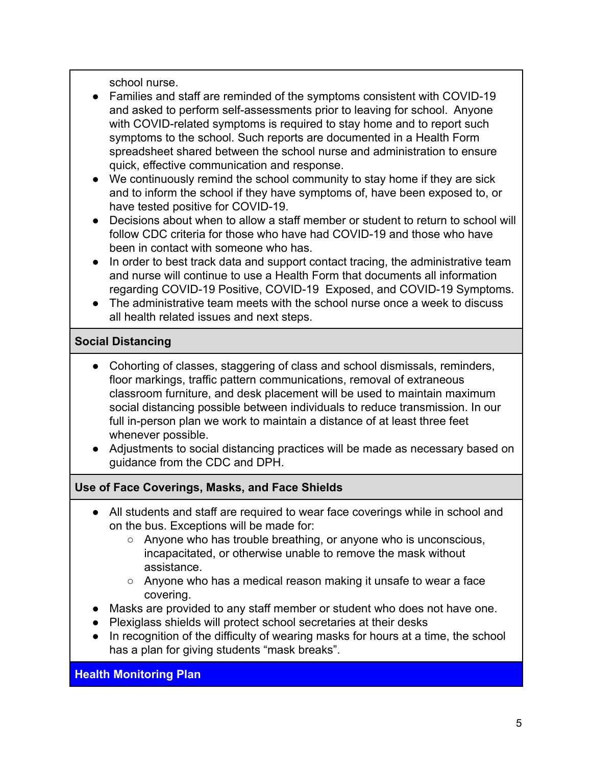school nurse.

- Families and staff are reminded of the symptoms consistent with COVID-19 and asked to perform self-assessments prior to leaving for school. Anyone with COVID-related symptoms is required to stay home and to report such symptoms to the school. Such reports are documented in a Health Form spreadsheet shared between the school nurse and administration to ensure quick, effective communication and response.
- We continuously remind the school community to stay home if they are sick and to inform the school if they have symptoms of, have been exposed to, or have tested positive for COVID-19.
- Decisions about when to allow a staff member or student to return to school will follow CDC criteria for those who have had COVID-19 and those who have been in contact with someone who has.
- In order to best track data and support contact tracing, the administrative team and nurse will continue to use a Health Form that documents all information regarding COVID-19 Positive, COVID-19 Exposed, and COVID-19 Symptoms.
- The administrative team meets with the school nurse once a week to discuss all health related issues and next steps.

### **Social Distancing**

- Cohorting of classes, staggering of class and school dismissals, reminders, floor markings, traffic pattern communications, removal of extraneous classroom furniture, and desk placement will be used to maintain maximum social distancing possible between individuals to reduce transmission. In our full in-person plan we work to maintain a distance of at least three feet whenever possible.
- Adjustments to social distancing practices will be made as necessary based on guidance from the CDC and DPH.

#### **Use of Face Coverings, Masks, and Face Shields**

- All students and staff are required to wear face coverings while in school and on the bus. Exceptions will be made for:
	- Anyone who has trouble breathing, or anyone who is unconscious, incapacitated, or otherwise unable to remove the mask without assistance.
	- Anyone who has a medical reason making it unsafe to wear a face covering.
- Masks are provided to any staff member or student who does not have one.
- Plexiglass shields will protect school secretaries at their desks
- In recognition of the difficulty of wearing masks for hours at a time, the school has a plan for giving students "mask breaks".

**Health Monitoring Plan**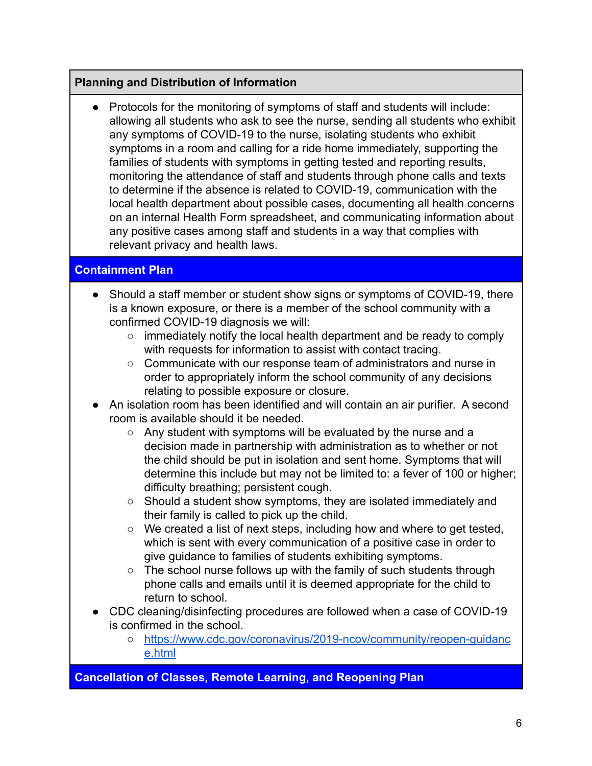### **Planning and Distribution of Information**

Protocols for the monitoring of symptoms of staff and students will include: allowing all students who ask to see the nurse, sending all students who exhibit any symptoms of COVID-19 to the nurse, isolating students who exhibit symptoms in a room and calling for a ride home immediately, supporting the families of students with symptoms in getting tested and reporting results, monitoring the attendance of staff and students through phone calls and texts to determine if the absence is related to COVID-19, communication with the local health department about possible cases, documenting all health concerns on an internal Health Form spreadsheet, and communicating information about any positive cases among staff and students in a way that complies with relevant privacy and health laws.

#### **Containment Plan**

- Should a staff member or student show signs or symptoms of COVID-19, there is a known exposure, or there is a member of the school community with a confirmed COVID-19 diagnosis we will:
	- immediately notify the local health department and be ready to comply with requests for information to assist with contact tracing.
	- Communicate with our response team of administrators and nurse in order to appropriately inform the school community of any decisions relating to possible exposure or closure.
- An isolation room has been identified and will contain an air purifier. A second room is available should it be needed.
	- Any student with symptoms will be evaluated by the nurse and a decision made in partnership with administration as to whether or not the child should be put in isolation and sent home. Symptoms that will determine this include but may not be limited to: a fever of 100 or higher; difficulty breathing; persistent cough.
	- Should a student show symptoms, they are isolated immediately and their family is called to pick up the child.
	- We created a list of next steps, including how and where to get tested, which is sent with every communication of a positive case in order to give guidance to families of students exhibiting symptoms.
	- The school nurse follows up with the family of such students through phone calls and emails until it is deemed appropriate for the child to return to school.
- CDC cleaning/disinfecting procedures are followed when a case of COVID-19 is confirmed in the school.
	- [https://www.cdc.gov/coronavirus/2019-ncov/community/reopen-guidanc](https://www.cdc.gov/coronavirus/2019-ncov/community/reopen-guidance.html) [e.html](https://www.cdc.gov/coronavirus/2019-ncov/community/reopen-guidance.html)

#### **Cancellation of Classes, Remote Learning, and Reopening Plan**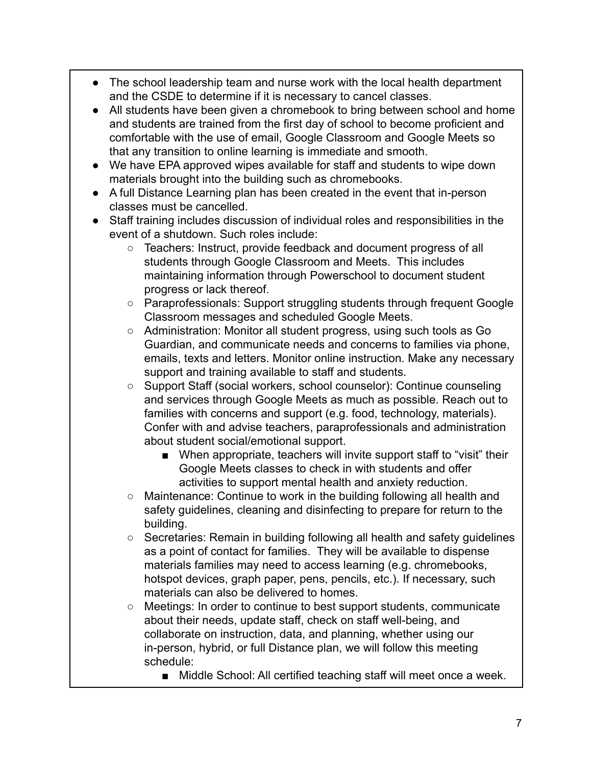- The school leadership team and nurse work with the local health department and the CSDE to determine if it is necessary to cancel classes.
- All students have been given a chromebook to bring between school and home and students are trained from the first day of school to become proficient and comfortable with the use of email, Google Classroom and Google Meets so that any transition to online learning is immediate and smooth.
- We have EPA approved wipes available for staff and students to wipe down materials brought into the building such as chromebooks.
- A full Distance Learning plan has been created in the event that in-person classes must be cancelled.
- Staff training includes discussion of individual roles and responsibilities in the event of a shutdown. Such roles include:
	- Teachers: Instruct, provide feedback and document progress of all students through Google Classroom and Meets. This includes maintaining information through Powerschool to document student progress or lack thereof.
	- Paraprofessionals: Support struggling students through frequent Google Classroom messages and scheduled Google Meets.
	- Administration: Monitor all student progress, using such tools as Go Guardian, and communicate needs and concerns to families via phone, emails, texts and letters. Monitor online instruction. Make any necessary support and training available to staff and students.
	- Support Staff (social workers, school counselor): Continue counseling and services through Google Meets as much as possible. Reach out to families with concerns and support (e.g. food, technology, materials). Confer with and advise teachers, paraprofessionals and administration about student social/emotional support.
		- When appropriate, teachers will invite support staff to "visit" their Google Meets classes to check in with students and offer activities to support mental health and anxiety reduction.
	- Maintenance: Continue to work in the building following all health and safety guidelines, cleaning and disinfecting to prepare for return to the building.
	- Secretaries: Remain in building following all health and safety guidelines as a point of contact for families. They will be available to dispense materials families may need to access learning (e.g. chromebooks, hotspot devices, graph paper, pens, pencils, etc.). If necessary, such materials can also be delivered to homes.
	- Meetings: In order to continue to best support students, communicate about their needs, update staff, check on staff well-being, and collaborate on instruction, data, and planning, whether using our in-person, hybrid, or full Distance plan, we will follow this meeting schedule:
		- Middle School: All certified teaching staff will meet once a week.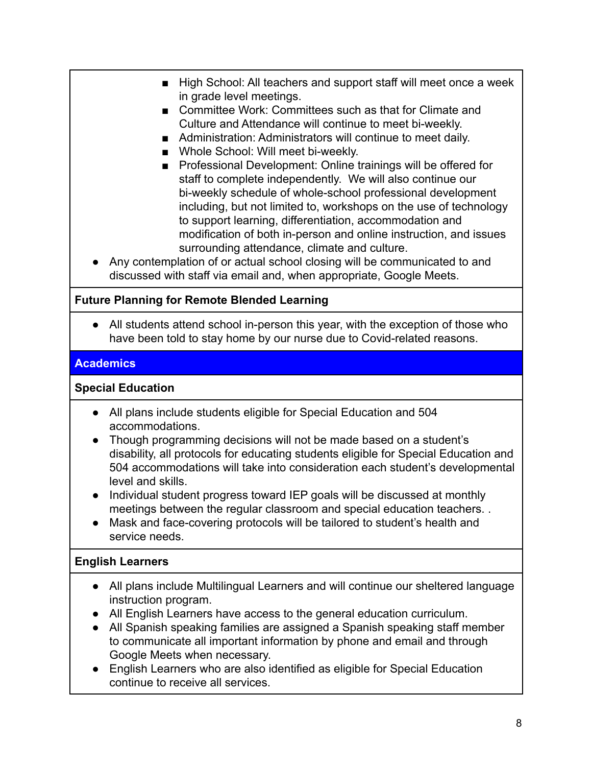- High School: All teachers and support staff will meet once a week in grade level meetings.
- Committee Work: Committees such as that for Climate and Culture and Attendance will continue to meet bi-weekly.
- Administration: Administrators will continue to meet daily.
- Whole School: Will meet bi-weekly.
- Professional Development: Online trainings will be offered for staff to complete independently. We will also continue our bi-weekly schedule of whole-school professional development including, but not limited to, workshops on the use of technology to support learning, differentiation, accommodation and modification of both in-person and online instruction, and issues surrounding attendance, climate and culture.
- Any contemplation of or actual school closing will be communicated to and discussed with staff via email and, when appropriate, Google Meets.

### **Future Planning for Remote Blended Learning**

● All students attend school in-person this year, with the exception of those who have been told to stay home by our nurse due to Covid-related reasons.

### **Academics**

#### **Special Education**

- All plans include students eligible for Special Education and 504 accommodations.
- Though programming decisions will not be made based on a student's disability, all protocols for educating students eligible for Special Education and 504 accommodations will take into consideration each student's developmental level and skills.
- Individual student progress toward IEP goals will be discussed at monthly meetings between the regular classroom and special education teachers. .
- Mask and face-covering protocols will be tailored to student's health and service needs.

#### **English Learners**

- All plans include Multilingual Learners and will continue our sheltered language instruction program.
- All English Learners have access to the general education curriculum.
- All Spanish speaking families are assigned a Spanish speaking staff member to communicate all important information by phone and email and through Google Meets when necessary.
- English Learners who are also identified as eligible for Special Education continue to receive all services.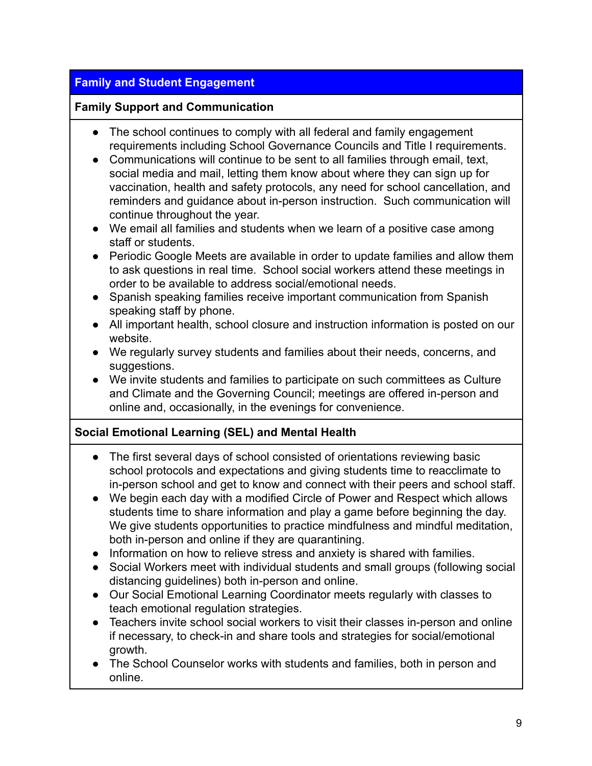# **Family and Student Engagement**

#### **Family Support and Communication**

- The school continues to comply with all federal and family engagement requirements including School Governance Councils and Title I requirements.
- Communications will continue to be sent to all families through email, text, social media and mail, letting them know about where they can sign up for vaccination, health and safety protocols, any need for school cancellation, and reminders and guidance about in-person instruction. Such communication will continue throughout the year.
- We email all families and students when we learn of a positive case among staff or students.
- Periodic Google Meets are available in order to update families and allow them to ask questions in real time. School social workers attend these meetings in order to be available to address social/emotional needs.
- Spanish speaking families receive important communication from Spanish speaking staff by phone.
- All important health, school closure and instruction information is posted on our website.
- We regularly survey students and families about their needs, concerns, and suggestions.
- We invite students and families to participate on such committees as Culture and Climate and the Governing Council; meetings are offered in-person and online and, occasionally, in the evenings for convenience.

#### **Social Emotional Learning (SEL) and Mental Health**

- The first several days of school consisted of orientations reviewing basic school protocols and expectations and giving students time to reacclimate to in-person school and get to know and connect with their peers and school staff.
- We begin each day with a modified Circle of Power and Respect which allows students time to share information and play a game before beginning the day. We give students opportunities to practice mindfulness and mindful meditation, both in-person and online if they are quarantining.
- Information on how to relieve stress and anxiety is shared with families.
- Social Workers meet with individual students and small groups (following social distancing guidelines) both in-person and online.
- Our Social Emotional Learning Coordinator meets regularly with classes to teach emotional regulation strategies.
- Teachers invite school social workers to visit their classes in-person and online if necessary, to check-in and share tools and strategies for social/emotional growth.
- The School Counselor works with students and families, both in person and online.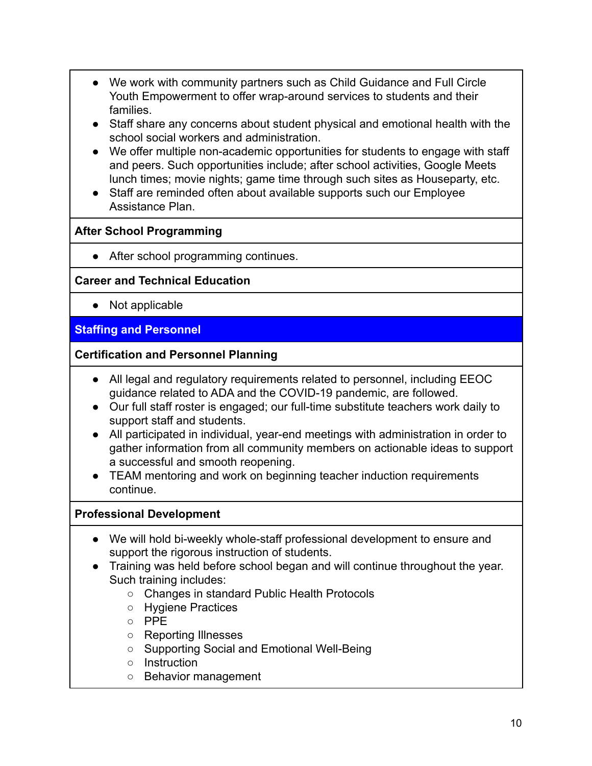- We work with community partners such as Child Guidance and Full Circle Youth Empowerment to offer wrap-around services to students and their families.
- Staff share any concerns about student physical and emotional health with the school social workers and administration.
- We offer multiple non-academic opportunities for students to engage with staff and peers. Such opportunities include; after school activities, Google Meets lunch times; movie nights; game time through such sites as Houseparty, etc.
- Staff are reminded often about available supports such our Employee Assistance Plan.

#### **After School Programming**

● After school programming continues.

#### **Career and Technical Education**

● Not applicable

#### **Staffing and Personnel**

#### **Certification and Personnel Planning**

- All legal and regulatory requirements related to personnel, including EEOC guidance related to ADA and the COVID-19 pandemic, are followed.
- Our full staff roster is engaged; our full-time substitute teachers work daily to support staff and students.
- All participated in individual, year-end meetings with administration in order to gather information from all community members on actionable ideas to support a successful and smooth reopening.
- TEAM mentoring and work on beginning teacher induction requirements continue.

#### **Professional Development**

- We will hold bi-weekly whole-staff professional development to ensure and support the rigorous instruction of students.
- Training was held before school began and will continue throughout the year. Such training includes:
	- Changes in standard Public Health Protocols
	- Hygiene Practices
	- PPE
	- Reporting Illnesses
	- Supporting Social and Emotional Well-Being
	- Instruction
	- Behavior management